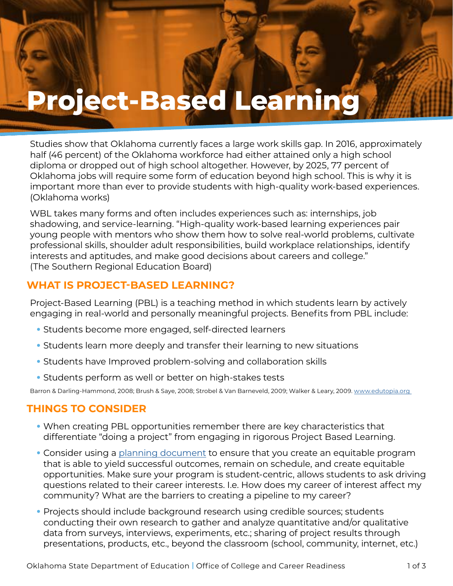# **Project-Based Learning**

Studies show that Oklahoma currently faces a large work skills gap. In 2016, approximately half (46 percent) of the Oklahoma workforce had either attained only a high school diploma or dropped out of high school altogether. However, by 2025, 77 percent of Oklahoma jobs will require some form of education beyond high school. This is why it is important more than ever to provide students with high-quality work-based experiences. (Oklahoma works)

WBL takes many forms and often includes experiences such as: internships, job shadowing, and service-learning. "High-quality work-based learning experiences pair young people with mentors who show them how to solve real-world problems, cultivate professional skills, shoulder adult responsibilities, build workplace relationships, identify interests and aptitudes, and make good decisions about careers and college." (The Southern Regional Education Board)

# **WHAT IS PROJECT-BASED LEARNING?**

**Project-Based Learning** 

Project-Based Learning (PBL) is a teaching method in which students learn by actively engaging in real-world and personally meaningful projects. Benefits from PBL include:

- Students become more engaged, self-directed learners
- Students learn more deeply and transfer their learning to new situations
- Students have Improved problem-solving and collaboration skills
- Students perform as well or better on high-stakes tests

Barron & Darling-Hammond, 2008; Brush & Saye, 2008; Strobel & Van Barneveld, 2009; Walker & Leary, 2009. www.edutopia.org

## **THINGS TO CONSIDER**

- When creating PBL opportunities remember there are key characteristics that differentiate "doing a project" from engaging in rigorous Project Based Learning.
- Consider using a [planning document](https://www.okedge.com/industry-engagement-action-planner-fillable-form47/) to ensure that you create an equitable program that is able to yield successful outcomes, remain on schedule, and create equitable opportunities. Make sure your program is student-centric, allows students to ask driving questions related to their career interests. I.e. How does my career of interest affect my community? What are the barriers to creating a pipeline to my career?
- Projects should include background research using credible sources; students conducting their own research to gather and analyze quantitative and/or qualitative data from surveys, interviews, experiments, etc.; sharing of project results through presentations, products, etc., beyond the classroom (school, community, internet, etc.)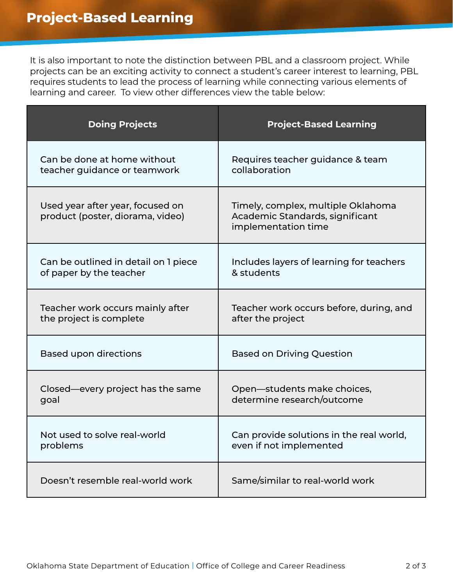It is also important to note the distinction between PBL and a classroom project. While projects can be an exciting activity to connect a student's career interest to learning, PBL requires students to lead the process of learning while connecting various elements of learning and career. To view other differences view the table below:

| <b>Doing Projects</b>                                                | <b>Project-Based Learning</b>                                                                |
|----------------------------------------------------------------------|----------------------------------------------------------------------------------------------|
| Can be done at home without                                          | Requires teacher guidance & team                                                             |
| teacher guidance or teamwork                                         | collaboration                                                                                |
| Used year after year, focused on<br>product (poster, diorama, video) | Timely, complex, multiple Oklahoma<br>Academic Standards, significant<br>implementation time |
| Can be outlined in detail on 1 piece                                 | Includes layers of learning for teachers                                                     |
| of paper by the teacher                                              | & students                                                                                   |
| Teacher work occurs mainly after                                     | Teacher work occurs before, during, and                                                      |
| the project is complete                                              | after the project                                                                            |
| <b>Based upon directions</b>                                         | <b>Based on Driving Question</b>                                                             |
| Closed—every project has the same                                    | Open-students make choices,                                                                  |
| goal                                                                 | determine research/outcome                                                                   |
| Not used to solve real-world                                         | Can provide solutions in the real world,                                                     |
| problems                                                             | even if not implemented                                                                      |
| Doesn't resemble real-world work                                     | Same/similar to real-world work                                                              |